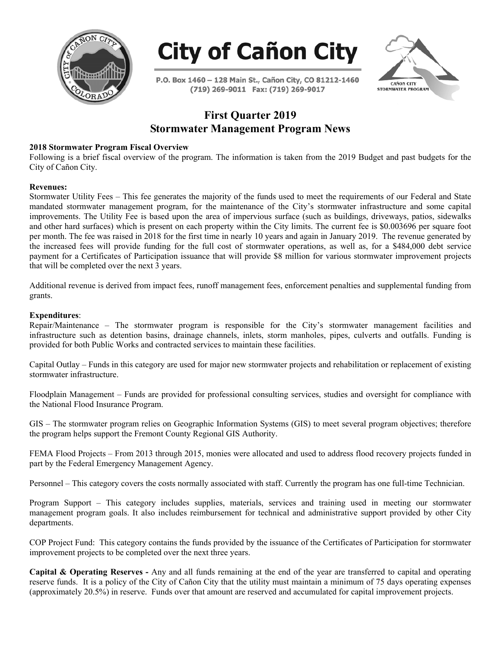



P.O. Box 1460 - 128 Main St., Cañon City, CO 81212-1460 (719) 269-9011 Fax: (719) 269-9017



## **First Quarter 2019 Stormwater Management Program News**

## **2018 Stormwater Program Fiscal Overview**

Following is a brief fiscal overview of the program. The information is taken from the 2019 Budget and past budgets for the City of Cañon City.

## **Revenues:**

Stormwater Utility Fees – This fee generates the majority of the funds used to meet the requirements of our Federal and State mandated stormwater management program, for the maintenance of the City's stormwater infrastructure and some capital improvements. The Utility Fee is based upon the area of impervious surface (such as buildings, driveways, patios, sidewalks and other hard surfaces) which is present on each property within the City limits. The current fee is \$0.003696 per square foot per month. The fee was raised in 2018 for the first time in nearly 10 years and again in January 2019. The revenue generated by the increased fees will provide funding for the full cost of stormwater operations, as well as, for a \$484,000 debt service payment for a Certificates of Participation issuance that will provide \$8 million for various stormwater improvement projects that will be completed over the next 3 years.

Additional revenue is derived from impact fees, runoff management fees, enforcement penalties and supplemental funding from grants.

## **Expenditures**:

Repair/Maintenance – The stormwater program is responsible for the City's stormwater management facilities and infrastructure such as detention basins, drainage channels, inlets, storm manholes, pipes, culverts and outfalls. Funding is provided for both Public Works and contracted services to maintain these facilities.

Capital Outlay – Funds in this category are used for major new stormwater projects and rehabilitation or replacement of existing stormwater infrastructure.

Floodplain Management – Funds are provided for professional consulting services, studies and oversight for compliance with the National Flood Insurance Program.

GIS – The stormwater program relies on Geographic Information Systems (GIS) to meet several program objectives; therefore the program helps support the Fremont County Regional GIS Authority.

FEMA Flood Projects – From 2013 through 2015, monies were allocated and used to address flood recovery projects funded in part by the Federal Emergency Management Agency.

Personnel – This category covers the costs normally associated with staff. Currently the program has one full-time Technician.

Program Support – This category includes supplies, materials, services and training used in meeting our stormwater management program goals. It also includes reimbursement for technical and administrative support provided by other City departments.

COP Project Fund: This category contains the funds provided by the issuance of the Certificates of Participation for stormwater improvement projects to be completed over the next three years.

**Capital & Operating Reserves -** Any and all funds remaining at the end of the year are transferred to capital and operating reserve funds. It is a policy of the City of Cañon City that the utility must maintain a minimum of 75 days operating expenses (approximately 20.5%) in reserve. Funds over that amount are reserved and accumulated for capital improvement projects.